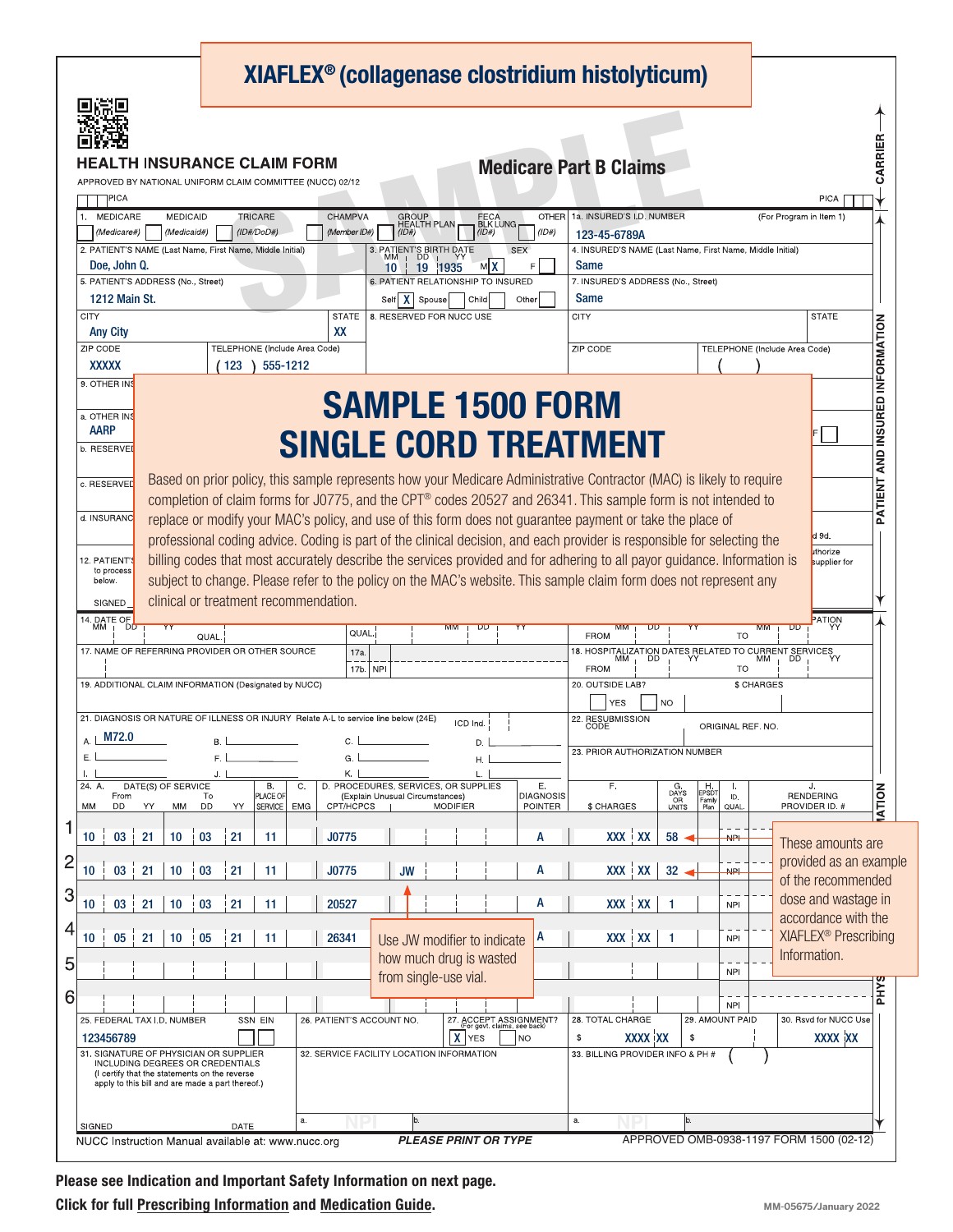| <b>'H INSURANCE CLAIM FORM</b><br><b>Medicare Part B Claims</b><br>OVED BY NATIONAL UNIFORM CLAIM COMMITTEE (NUCC) 02/12<br>]PICA<br>CHAMPVA<br><b>MEDICARE</b><br><b>MEDICAID</b><br><b>TRICARE</b><br>OTHER<br><b>GROUP</b><br>HEALTH PLAN<br>FECA<br>BLK LUNG<br>1.<br>(Member ID#)<br>(1D#)<br>$(ID\#/DoD\#)$<br>(1D#)<br>(Medicare#)<br>(Medicaid#)<br>(ID#)<br>3. PATIENT'S BIRTH DATE<br>2. PATIENT'S NAME (Last Name, First Name, Middle Initial)<br><b>SEX</b><br>Doe, John Q.<br>мIX<br>1935<br>19<br>10<br>5. PATIENT'S ADDRESS (No., Street)<br>6. PATIENT RELATIONSHIP TO INSURED<br>1212 Main St.<br>$\mathbf{x}$<br>Other<br>Self<br>Spouse<br>Child<br><b>CITY</b><br><b>STATE</b><br>8. RESERVED FOR NUCC USE<br>XX<br><b>Any City</b><br>ZIP CODE<br>TELEPHONE (Include Area Code) | <b>PICA</b><br>1a. INSURED'S I.D. NUMBER<br>(For Program in Item 1)<br>123-45-6789A<br>4. INSURED'S NAME (Last Name, First Name, Middle Initial)<br>Same<br>7. INSURED'S ADDRESS (No., Street)<br>Same<br>CITY<br><b>STATE</b> |
|------------------------------------------------------------------------------------------------------------------------------------------------------------------------------------------------------------------------------------------------------------------------------------------------------------------------------------------------------------------------------------------------------------------------------------------------------------------------------------------------------------------------------------------------------------------------------------------------------------------------------------------------------------------------------------------------------------------------------------------------------------------------------------------------------|--------------------------------------------------------------------------------------------------------------------------------------------------------------------------------------------------------------------------------|
|                                                                                                                                                                                                                                                                                                                                                                                                                                                                                                                                                                                                                                                                                                                                                                                                      |                                                                                                                                                                                                                                |
|                                                                                                                                                                                                                                                                                                                                                                                                                                                                                                                                                                                                                                                                                                                                                                                                      |                                                                                                                                                                                                                                |
|                                                                                                                                                                                                                                                                                                                                                                                                                                                                                                                                                                                                                                                                                                                                                                                                      |                                                                                                                                                                                                                                |
|                                                                                                                                                                                                                                                                                                                                                                                                                                                                                                                                                                                                                                                                                                                                                                                                      |                                                                                                                                                                                                                                |
|                                                                                                                                                                                                                                                                                                                                                                                                                                                                                                                                                                                                                                                                                                                                                                                                      |                                                                                                                                                                                                                                |
|                                                                                                                                                                                                                                                                                                                                                                                                                                                                                                                                                                                                                                                                                                                                                                                                      |                                                                                                                                                                                                                                |
|                                                                                                                                                                                                                                                                                                                                                                                                                                                                                                                                                                                                                                                                                                                                                                                                      |                                                                                                                                                                                                                                |
| <b>XXXXX</b>                                                                                                                                                                                                                                                                                                                                                                                                                                                                                                                                                                                                                                                                                                                                                                                         | ZIP CODE<br>TELEPHONE (Include Area Code)                                                                                                                                                                                      |
| 555-1212<br>123<br>9. OTHER INS                                                                                                                                                                                                                                                                                                                                                                                                                                                                                                                                                                                                                                                                                                                                                                      |                                                                                                                                                                                                                                |
| <b>SAMPLE 1500 FORM</b><br>a. OTHER INS                                                                                                                                                                                                                                                                                                                                                                                                                                                                                                                                                                                                                                                                                                                                                              |                                                                                                                                                                                                                                |
| <b>AARP</b><br><b>SINGLE CORD TREATMENT</b>                                                                                                                                                                                                                                                                                                                                                                                                                                                                                                                                                                                                                                                                                                                                                          |                                                                                                                                                                                                                                |
| b. RESERVEI                                                                                                                                                                                                                                                                                                                                                                                                                                                                                                                                                                                                                                                                                                                                                                                          |                                                                                                                                                                                                                                |
| Based on prior policy, this sample represents how your Medicare Administrative Contractor (MAC) is likely to require<br>c. RESERVED<br>completion of claim forms for J0775, and the CPT® codes 20527 and 26341. This sample form is not intended to                                                                                                                                                                                                                                                                                                                                                                                                                                                                                                                                                  |                                                                                                                                                                                                                                |
| d. INSURANC<br>replace or modify your MAC's policy, and use of this form does not guarantee payment or take the place of                                                                                                                                                                                                                                                                                                                                                                                                                                                                                                                                                                                                                                                                             |                                                                                                                                                                                                                                |
| professional coding advice. Coding is part of the clinical decision, and each provider is responsible for selecting the                                                                                                                                                                                                                                                                                                                                                                                                                                                                                                                                                                                                                                                                              | d 9d.<br>uthorize                                                                                                                                                                                                              |
| billing codes that most accurately describe the services provided and for adhering to all payor guidance. Information is<br>12. PATIENT'S<br>to process<br>subject to change. Please refer to the policy on the MAC's website. This sample claim form does not represent any<br>below.                                                                                                                                                                                                                                                                                                                                                                                                                                                                                                               | supplier for                                                                                                                                                                                                                   |
| clinical or treatment recommendation.<br>SIGNED                                                                                                                                                                                                                                                                                                                                                                                                                                                                                                                                                                                                                                                                                                                                                      |                                                                                                                                                                                                                                |
| 14. DATE OF<br>MM<br>DD<br>QUAL.<br>QUAL                                                                                                                                                                                                                                                                                                                                                                                                                                                                                                                                                                                                                                                                                                                                                             | PATION<br><b>MM</b><br><b>FROM</b><br><b>TO</b>                                                                                                                                                                                |
| 17. NAME OF REFERRING PROVIDER OR OTHER SOURCE<br>17a.                                                                                                                                                                                                                                                                                                                                                                                                                                                                                                                                                                                                                                                                                                                                               | 18. HOSPITALIZATION DATES RELATED TO CURRENT SERVICES<br>MM , DD ,  YY     MM , DD ,  YY                                                                                                                                       |
| $17b$ , NPI<br>19. ADDITIONAL CLAIM INFORMATION (Designated by NUCC)                                                                                                                                                                                                                                                                                                                                                                                                                                                                                                                                                                                                                                                                                                                                 | <b>FROM</b><br>TO<br>20. OUTSIDE LAB?<br>\$ CHARGES                                                                                                                                                                            |
| 21. DIAGNOSIS OR NATURE OF ILLNESS OR INJURY Relate A-L to service line below (24E)<br>ICD Ind.                                                                                                                                                                                                                                                                                                                                                                                                                                                                                                                                                                                                                                                                                                      | <b>YES</b><br><b>NO</b><br>22. RESUBMISSION                                                                                                                                                                                    |
| M72.0<br>Α.<br>В.<br>С.<br>D.                                                                                                                                                                                                                                                                                                                                                                                                                                                                                                                                                                                                                                                                                                                                                                        | ORIGINAL REF. NO.                                                                                                                                                                                                              |
| Ε.<br>F.<br>G.<br>Η.<br>Κ.<br>J.<br>T.                                                                                                                                                                                                                                                                                                                                                                                                                                                                                                                                                                                                                                                                                                                                                               | 23. PRIOR AUTHORIZATION NUMBER                                                                                                                                                                                                 |
| D. PROCEDURES, SERVICES, OR SUPPLIES<br>Ε.<br><b>B.</b><br>24. A<br>DATE(S) OF SERVICE<br>C.<br>(Explain Unusual Circumstances)<br><b>DIAGNOSIS</b><br>PLACE OF<br>From<br>To<br>DD<br>SERVICE   EMG<br>POINTER<br>DD<br>YY<br>CPT/HCPCS<br>MODIFIER<br>MM                                                                                                                                                                                                                                                                                                                                                                                                                                                                                                                                           | F.<br>$G$<br>DAYS<br>H.<br>EPSDT<br>Family<br>Plan<br>J.<br>L.<br><b>RENDERING</b><br>ID.<br>OR<br>UNITS<br>\$ CHARGES<br>PROVIDER ID. #                                                                                       |
| YY<br>MМ                                                                                                                                                                                                                                                                                                                                                                                                                                                                                                                                                                                                                                                                                                                                                                                             | QUAL                                                                                                                                                                                                                           |
| 21<br>10 <sub>1</sub><br>03<br>21<br>J0775<br>03<br>10<br>11<br>A                                                                                                                                                                                                                                                                                                                                                                                                                                                                                                                                                                                                                                                                                                                                    | XXX XX<br>58<br>NP+<br>These amounts are                                                                                                                                                                                       |
| 21<br>03<br>J0775<br>10<br>03<br>10<br>21<br><b>JW</b><br>A<br>11                                                                                                                                                                                                                                                                                                                                                                                                                                                                                                                                                                                                                                                                                                                                    | provided as an example<br>XXX XX<br>32<br><b>NPL</b><br>of the recommended                                                                                                                                                     |
| 20527<br>A<br>21<br>10<br>03<br>21<br>10<br>03<br>11                                                                                                                                                                                                                                                                                                                                                                                                                                                                                                                                                                                                                                                                                                                                                 | dose and wastage in<br>XXX XX<br>$\mathbf{1}$<br><b>NPI</b>                                                                                                                                                                    |
| 21<br>10<br>05<br>21<br>26341<br>10<br>05<br>11<br>A<br>Use JW modifier to indicate                                                                                                                                                                                                                                                                                                                                                                                                                                                                                                                                                                                                                                                                                                                  | accordance with the<br>XIAFLEX <sup>®</sup> Prescribing<br>XXX XX<br>$\overline{1}$<br><b>NPI</b>                                                                                                                              |
| how much drug is wasted                                                                                                                                                                                                                                                                                                                                                                                                                                                                                                                                                                                                                                                                                                                                                                              | Information.                                                                                                                                                                                                                   |
| from single-use vial.                                                                                                                                                                                                                                                                                                                                                                                                                                                                                                                                                                                                                                                                                                                                                                                | <b>NPI</b>                                                                                                                                                                                                                     |
| 26. PATIENT'S ACCOUNT NO.<br>25. FEDERAL TAX I.D. NUMBER<br>SSN EIN                                                                                                                                                                                                                                                                                                                                                                                                                                                                                                                                                                                                                                                                                                                                  | <b>NPI</b><br>28. TOTAL CHARGE<br>29. AMOUNT PAID<br>30. Rsvd for NUCC Use                                                                                                                                                     |
| 27 ACCEPT ASSIGNMENT?<br>For govt. claims, see back)<br>$\mathbf{x}$<br><b>YES</b><br>N <sub>O</sub><br>123456789                                                                                                                                                                                                                                                                                                                                                                                                                                                                                                                                                                                                                                                                                    | <b>XXXX XX</b><br><b>XXXX XX</b><br>\$<br>\$                                                                                                                                                                                   |
| 31. SIGNATURE OF PHYSICIAN OR SUPPLIER<br>32. SERVICE FACILITY LOCATION INFORMATION<br><b>INCLUDING DEGREES OR CREDENTIALS</b><br>(I certify that the statements on the reverse<br>apply to this bill and are made a part thereof.)                                                                                                                                                                                                                                                                                                                                                                                                                                                                                                                                                                  | 33. BILLING PROVIDER INFO & PH #                                                                                                                                                                                               |
| a.<br>b.<br>SIGNED<br>DATE                                                                                                                                                                                                                                                                                                                                                                                                                                                                                                                                                                                                                                                                                                                                                                           | a.<br>b.                                                                                                                                                                                                                       |

NUCC Instruction Manual available at: www.nucc.org

Please see Indication and Important Safety Information on next page. Click for full P[rescribing Information](https://endodocuments.com/XIAFLEX/PI) and [Medication Guide](https://endodocuments.com/XIAFLEX/MG).